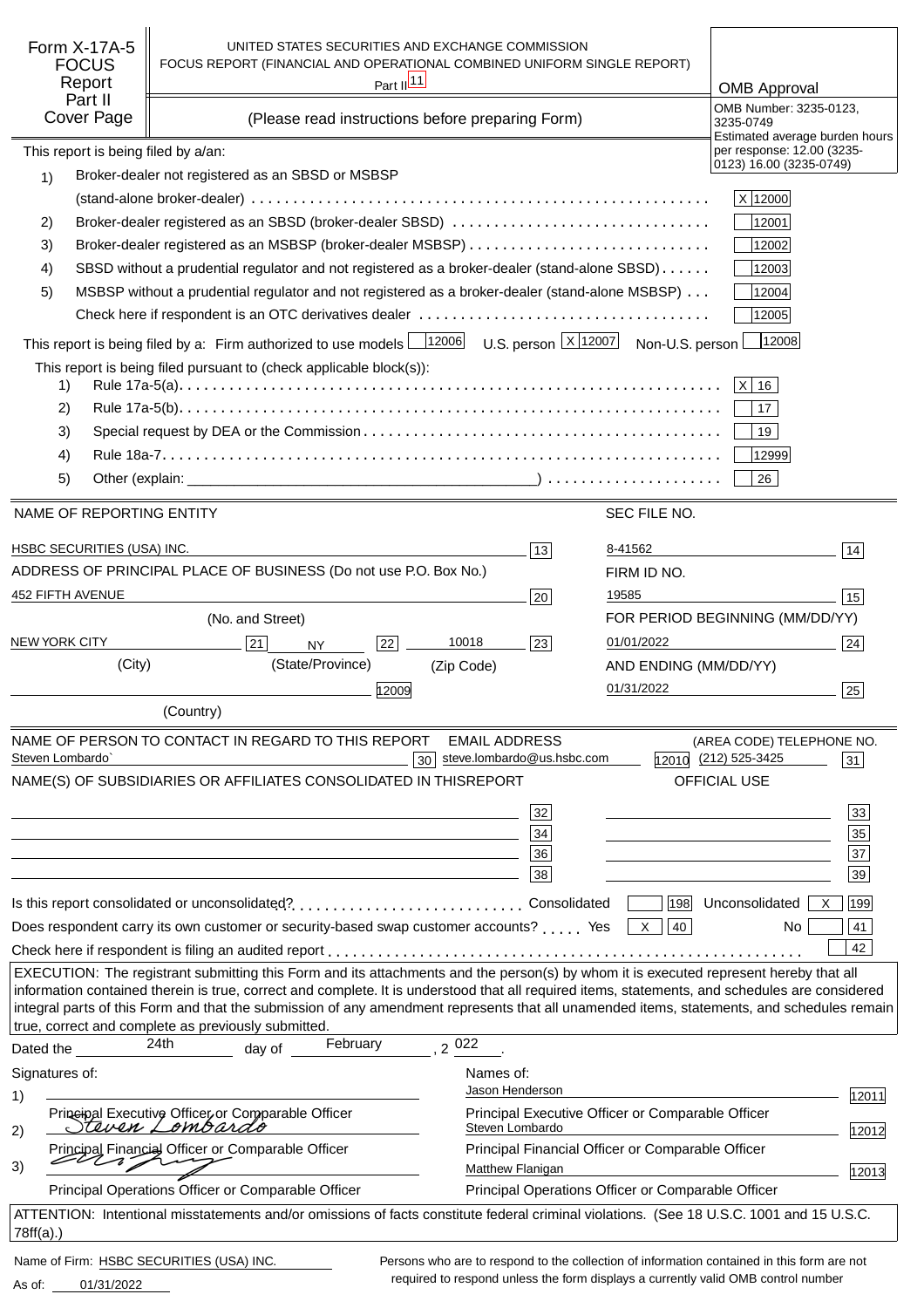| Form X-17A-5<br><b>FOCUS</b>        | UNITED STATES SECURITIES AND EXCHANGE COMMISSION<br>FOCUS REPORT (FINANCIAL AND OPERATIONAL COMBINED UNIFORM SINGLE REPORT)                                                                                                                                                                                                                                                                                                            |                                                                       |                       |                                                                                            |
|-------------------------------------|----------------------------------------------------------------------------------------------------------------------------------------------------------------------------------------------------------------------------------------------------------------------------------------------------------------------------------------------------------------------------------------------------------------------------------------|-----------------------------------------------------------------------|-----------------------|--------------------------------------------------------------------------------------------|
| Report                              | Part II <sup>11</sup>                                                                                                                                                                                                                                                                                                                                                                                                                  |                                                                       |                       |                                                                                            |
| Part II                             |                                                                                                                                                                                                                                                                                                                                                                                                                                        |                                                                       |                       | <b>OMB Approval</b><br>OMB Number: 3235-0123.                                              |
| Cover Page                          | (Please read instructions before preparing Form)                                                                                                                                                                                                                                                                                                                                                                                       |                                                                       |                       | 3235-0749                                                                                  |
| This report is being filed by a/an: |                                                                                                                                                                                                                                                                                                                                                                                                                                        |                                                                       |                       | Estimated average burden hours<br>per response: 12.00 (3235-                               |
| 1)                                  | Broker-dealer not registered as an SBSD or MSBSP                                                                                                                                                                                                                                                                                                                                                                                       |                                                                       |                       | 0123) 16.00 (3235-0749)                                                                    |
|                                     |                                                                                                                                                                                                                                                                                                                                                                                                                                        |                                                                       |                       | X 12000                                                                                    |
| 2)                                  | Broker-dealer registered as an SBSD (broker-dealer SBSD)                                                                                                                                                                                                                                                                                                                                                                               |                                                                       |                       | 12001                                                                                      |
| 3)                                  |                                                                                                                                                                                                                                                                                                                                                                                                                                        |                                                                       |                       | 12002                                                                                      |
| 4)                                  | SBSD without a prudential regulator and not registered as a broker-dealer (stand-alone SBSD)                                                                                                                                                                                                                                                                                                                                           |                                                                       |                       | 12003                                                                                      |
| 5)                                  | MSBSP without a prudential regulator and not registered as a broker-dealer (stand-alone MSBSP)                                                                                                                                                                                                                                                                                                                                         |                                                                       |                       | 12004                                                                                      |
|                                     |                                                                                                                                                                                                                                                                                                                                                                                                                                        |                                                                       |                       | 12005                                                                                      |
|                                     | This report is being filed by a: Firm authorized to use models $\frac{12006}{12006}$                                                                                                                                                                                                                                                                                                                                                   | U.S. person $\lfloor x \rfloor$ 12007 Non-U.S. person                 |                       | 12008                                                                                      |
|                                     |                                                                                                                                                                                                                                                                                                                                                                                                                                        |                                                                       |                       |                                                                                            |
| 1)                                  | This report is being filed pursuant to (check applicable block(s)):                                                                                                                                                                                                                                                                                                                                                                    |                                                                       |                       | $\vert$ X $\vert$<br>16                                                                    |
| 2)                                  |                                                                                                                                                                                                                                                                                                                                                                                                                                        |                                                                       |                       | 17                                                                                         |
| 3)                                  |                                                                                                                                                                                                                                                                                                                                                                                                                                        |                                                                       |                       | 19                                                                                         |
| 4)                                  |                                                                                                                                                                                                                                                                                                                                                                                                                                        |                                                                       |                       | 12999                                                                                      |
| 5)                                  |                                                                                                                                                                                                                                                                                                                                                                                                                                        |                                                                       |                       | 26                                                                                         |
|                                     |                                                                                                                                                                                                                                                                                                                                                                                                                                        |                                                                       |                       |                                                                                            |
| NAME OF REPORTING ENTITY            |                                                                                                                                                                                                                                                                                                                                                                                                                                        |                                                                       | SEC FILE NO.          |                                                                                            |
| HSBC SECURITIES (USA) INC.          |                                                                                                                                                                                                                                                                                                                                                                                                                                        | 13                                                                    | 8-41562               | 14                                                                                         |
|                                     | ADDRESS OF PRINCIPAL PLACE OF BUSINESS (Do not use P.O. Box No.)                                                                                                                                                                                                                                                                                                                                                                       |                                                                       | FIRM ID NO.           |                                                                                            |
| 452 FIFTH AVENUE                    |                                                                                                                                                                                                                                                                                                                                                                                                                                        | 20                                                                    | 19585                 | 15                                                                                         |
|                                     | (No. and Street)                                                                                                                                                                                                                                                                                                                                                                                                                       |                                                                       |                       | FOR PERIOD BEGINNING (MM/DD/YY)                                                            |
| <b>NEW YORK CITY</b>                | 21<br>22<br><b>NY</b>                                                                                                                                                                                                                                                                                                                                                                                                                  | 10018<br>23                                                           | 01/01/2022            | 24                                                                                         |
| (City)                              | (State/Province)                                                                                                                                                                                                                                                                                                                                                                                                                       | (Zip Code)                                                            | AND ENDING (MM/DD/YY) |                                                                                            |
|                                     | 12009                                                                                                                                                                                                                                                                                                                                                                                                                                  |                                                                       | 01/31/2022            | 25                                                                                         |
|                                     | (Country)                                                                                                                                                                                                                                                                                                                                                                                                                              |                                                                       |                       |                                                                                            |
|                                     | NAME OF PERSON TO CONTACT IN REGARD TO THIS REPORT                                                                                                                                                                                                                                                                                                                                                                                     |                                                                       |                       |                                                                                            |
| Steven Lombardo`                    | 30 <sup>1</sup>                                                                                                                                                                                                                                                                                                                                                                                                                        | <b>EMAIL ADDRESS</b><br>steve.lombardo@us.hsbc.com                    |                       | (AREA CODE) TELEPHONE NO.<br>12010 (212) 525-3425<br>31                                    |
|                                     | NAME(S) OF SUBSIDIARIES OR AFFILIATES CONSOLIDATED IN THIS                                                                                                                                                                                                                                                                                                                                                                             | <b>REPORT</b>                                                         |                       | <b>OFFICIAL USE</b>                                                                        |
|                                     |                                                                                                                                                                                                                                                                                                                                                                                                                                        |                                                                       |                       |                                                                                            |
|                                     |                                                                                                                                                                                                                                                                                                                                                                                                                                        | 32                                                                    |                       | 33                                                                                         |
|                                     |                                                                                                                                                                                                                                                                                                                                                                                                                                        | 34                                                                    |                       | 35<br>37                                                                                   |
|                                     | and the control of the control of the control of the control of the control of the control of the control of the                                                                                                                                                                                                                                                                                                                       | 36<br>38                                                              |                       | 39                                                                                         |
|                                     |                                                                                                                                                                                                                                                                                                                                                                                                                                        |                                                                       |                       |                                                                                            |
|                                     |                                                                                                                                                                                                                                                                                                                                                                                                                                        |                                                                       | 198                   | Unconsolidated  <br> 199 <br>$\mathsf{X}$                                                  |
|                                     | Does respondent carry its own customer or security-based swap customer accounts? Yes                                                                                                                                                                                                                                                                                                                                                   |                                                                       | 40<br>- X             | 41<br>No.                                                                                  |
|                                     |                                                                                                                                                                                                                                                                                                                                                                                                                                        |                                                                       |                       | 42                                                                                         |
|                                     | EXECUTION: The registrant submitting this Form and its attachments and the person(s) by whom it is executed represent hereby that all<br>information contained therein is true, correct and complete. It is understood that all required items, statements, and schedules are considered<br>integral parts of this Form and that the submission of any amendment represents that all unamended items, statements, and schedules remain |                                                                       |                       |                                                                                            |
|                                     | true, correct and complete as previously submitted.                                                                                                                                                                                                                                                                                                                                                                                    |                                                                       |                       |                                                                                            |
| Dated the                           | 24th<br>February<br>day of                                                                                                                                                                                                                                                                                                                                                                                                             | .2022                                                                 |                       |                                                                                            |
| Signatures of:                      |                                                                                                                                                                                                                                                                                                                                                                                                                                        | Names of:                                                             |                       |                                                                                            |
| 1)                                  |                                                                                                                                                                                                                                                                                                                                                                                                                                        | Jason Henderson                                                       |                       | 12011                                                                                      |
| 2)                                  | Prineipal Executive Officer or Comparable Officer<br>Steven Lombardo                                                                                                                                                                                                                                                                                                                                                                   | Principal Executive Officer or Comparable Officer<br>Steven Lombardo  |                       | 12012                                                                                      |
| En T<br>3)                          | Principal Financial Officer or Comparable Officer                                                                                                                                                                                                                                                                                                                                                                                      | Principal Financial Officer or Comparable Officer<br>Matthew Flanigan |                       | 12013                                                                                      |
|                                     | Principal Operations Officer or Comparable Officer                                                                                                                                                                                                                                                                                                                                                                                     | Principal Operations Officer or Comparable Officer                    |                       |                                                                                            |
| 78ff(a).                            | ATTENTION: Intentional misstatements and/or omissions of facts constitute federal criminal violations. (See 18 U.S.C. 1001 and 15 U.S.C.                                                                                                                                                                                                                                                                                               |                                                                       |                       |                                                                                            |
|                                     | Name of Firm: HSBC SECURITIES (USA) INC.                                                                                                                                                                                                                                                                                                                                                                                               |                                                                       |                       | Persons who are to respond to the collection of information contained in this form are not |

01/31/2022 As of:

required to respond unless the form displays a currently valid OMB control number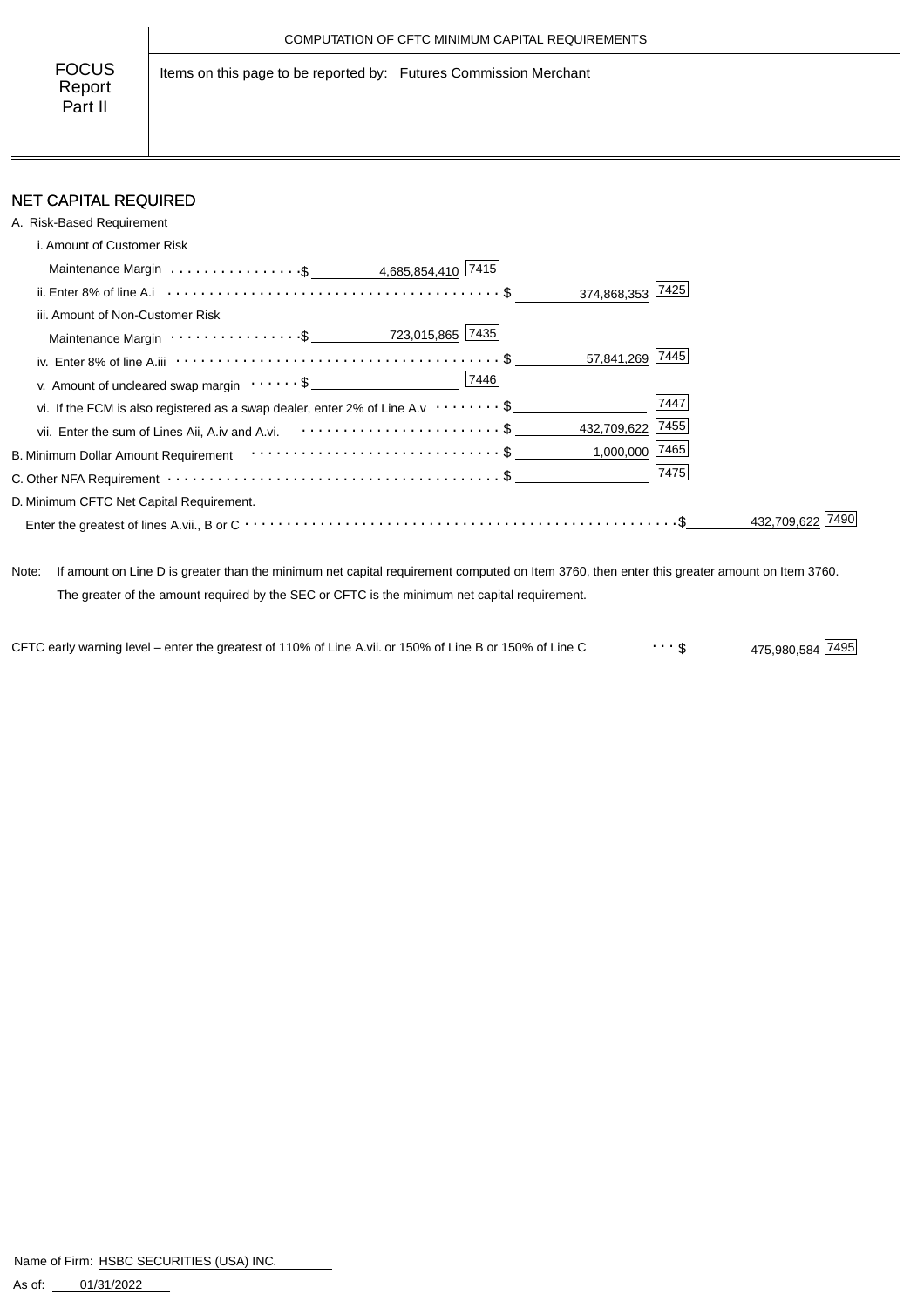Items on this page to be reported by: Futures Commission Merchant

# NET CAPITAL REQUIRED

| A. Risk-Based Requirement                                                                                                                                         |      |            |
|-------------------------------------------------------------------------------------------------------------------------------------------------------------------|------|------------|
| i. Amount of Customer Risk                                                                                                                                        |      |            |
| Maintenance Margin \$ 4,685,854,410 7415                                                                                                                          |      |            |
| 374,868,353 7425<br>ii. Enter 8% of line A.i $\cdots$ $\cdots$ $\cdots$ $\cdots$ $\cdots$ $\cdots$ $\cdots$ $\cdots$ $\cdots$ $\cdots$ $\cdots$ $\cdots$ $\cdots$ |      |            |
| iii. Amount of Non-Customer Risk                                                                                                                                  |      |            |
|                                                                                                                                                                   |      |            |
| 57,841,269 7445                                                                                                                                                   |      |            |
| 7446<br>v. Amount of uncleared swap margin $\dots \dots$ \$                                                                                                       |      |            |
| vi. If the FCM is also registered as a swap dealer, enter 2% of Line A.v $\cdots \cdots$ \$                                                                       | 7447 |            |
| 432,709,622 7455<br>vii. Enter the sum of Lines Aii, A.iv and A.vi. $\cdots \cdots \cdots \cdots \cdots \cdots \cdots$ \$                                         |      |            |
| 1,000,000 7465                                                                                                                                                    |      |            |
|                                                                                                                                                                   | 7475 |            |
| D. Minimum CFTC Net Capital Requirement.                                                                                                                          |      |            |
|                                                                                                                                                                   |      | 432.709.62 |

Note: If amount on Line D is greater than the minimum net capital requirement computed on Item 3760, then enter this greater amount on Item 3760. The greater of the amount required by the SEC or CFTC is the minimum net capital requirement.

475,980,584 \$ CFTC early warning level – enter the greatest of 110% of Line A.vii. or 150% of Line B or 150% of Line C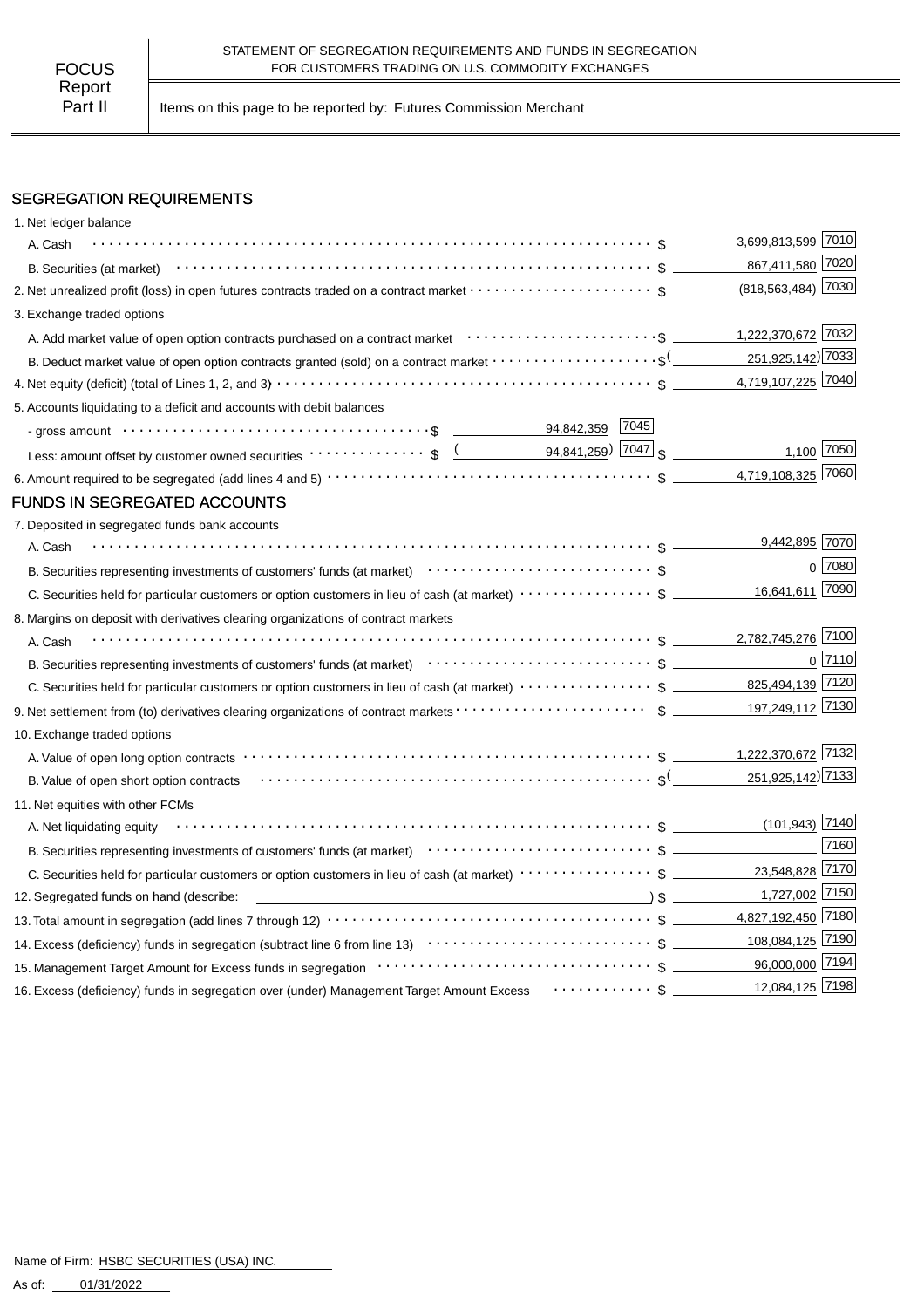Part II | Items on this page to be reported by: Futures Commission Merchant

### SEGREGATION REQUIREMENTS

| 1. Net ledger balance                                                                                                                                                                                                                                                            |                        |              |
|----------------------------------------------------------------------------------------------------------------------------------------------------------------------------------------------------------------------------------------------------------------------------------|------------------------|--------------|
| A. Cash                                                                                                                                                                                                                                                                          | 3,699,813,599 7010     |              |
| B. Securities (at market) $\cdots$ $\cdots$ $\cdots$ $\cdots$ $\cdots$ $\cdots$ $\cdots$ $\cdots$ $\cdots$ $\cdots$ $\cdots$ $\cdots$ $\cdots$ $\cdots$ $\cdots$ $\cdots$                                                                                                        | 867,411,580 7020       |              |
| 2. Net unrealized profit (loss) in open futures contracts traded on a contract market \$                                                                                                                                                                                         | $(818, 563, 484)$ 7030 |              |
| 3. Exchange traded options                                                                                                                                                                                                                                                       |                        |              |
|                                                                                                                                                                                                                                                                                  | 1,222,370,672 7032     |              |
| B. Deduct market value of open option contracts granted (sold) on a contract market $\cdots\cdots\cdots\cdots\cdots\cdots$                                                                                                                                                       | 251,925,142) 7033      |              |
|                                                                                                                                                                                                                                                                                  | 4,719,107,225 7040     |              |
| 5. Accounts liquidating to a deficit and accounts with debit balances                                                                                                                                                                                                            |                        |              |
|                                                                                                                                                                                                                                                                                  |                        |              |
|                                                                                                                                                                                                                                                                                  |                        | 1,100 7050   |
|                                                                                                                                                                                                                                                                                  | 4,719,108,325 7060     |              |
| <b>FUNDS IN SEGREGATED ACCOUNTS</b>                                                                                                                                                                                                                                              |                        |              |
| 7. Deposited in segregated funds bank accounts                                                                                                                                                                                                                                   |                        |              |
| A. Cash                                                                                                                                                                                                                                                                          | 9,442,895 7070         |              |
| B. Securities representing investments of customers' funds (at market) (and market) and contain the securities representing investments of customers' funds (at market) (b) and contain the securities representing investment                                                   |                        | 0 7080       |
|                                                                                                                                                                                                                                                                                  | 16,641,611 7090        |              |
| 8. Margins on deposit with derivatives clearing organizations of contract markets                                                                                                                                                                                                |                        |              |
| A. Cash                                                                                                                                                                                                                                                                          | 2,782,745,276 7100     |              |
|                                                                                                                                                                                                                                                                                  |                        | $0$   $7110$ |
|                                                                                                                                                                                                                                                                                  |                        |              |
|                                                                                                                                                                                                                                                                                  | 197,249,112 7130       |              |
| 10. Exchange traded options                                                                                                                                                                                                                                                      |                        |              |
|                                                                                                                                                                                                                                                                                  |                        |              |
| B. Value of open short option contracts (all contexts) and context and context and context and context and context and context and context and context and context and context and context and context and context and context                                                   | 251,925,142) 7133      |              |
| 11. Net equities with other FCMs                                                                                                                                                                                                                                                 |                        |              |
| A. Net liquidating equity                                                                                                                                                                                                                                                        | $(101, 943)$ 7140      |              |
|                                                                                                                                                                                                                                                                                  |                        | 7160         |
| C. Securities held for particular customers or option customers in lieu of cash (at market) ···················\$                                                                                                                                                                | 23,548,828 7170        |              |
| $\overline{\hspace{1cm}}$ $\hspace{1.5cm}$ $\hspace{1.5cm}$ $\hspace{1.5cm}$ $\hspace{1.5cm}$ $\hspace{1.5cm}$ $\hspace{1.5cm}$ $\hspace{1.5cm}$ $\hspace{1.5cm}$ $\hspace{1.5cm}$ $\hspace{1.5cm}$ $\hspace{1.5cm}$ $\hspace{1.5cm}$<br>12. Segregated funds on hand (describe: | 1,727,002 7150         |              |
|                                                                                                                                                                                                                                                                                  | 4,827,192,450 7180     |              |
|                                                                                                                                                                                                                                                                                  | 108,084,125 7190       |              |
|                                                                                                                                                                                                                                                                                  | 96,000,000 7194        |              |
|                                                                                                                                                                                                                                                                                  |                        |              |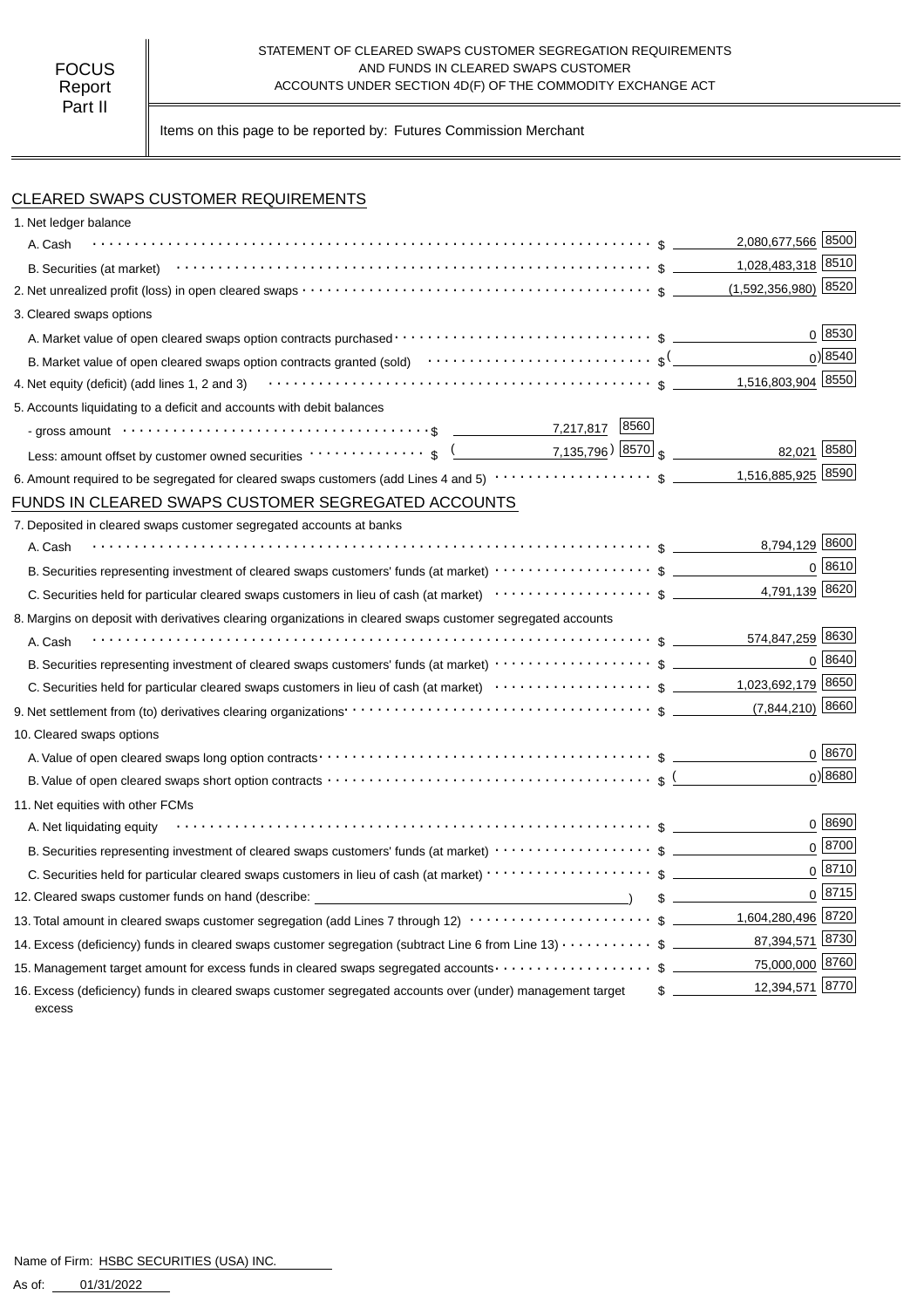#### STATEMENT OF CLEARED SWAPS CUSTOMER SEGREGATION REQUIREMENTS AND FUNDS IN CLEARED SWAPS CUSTOMER ACCOUNTS UNDER SECTION 4D(F) OF THE COMMODITY EXCHANGE ACT

Items on this page to be reported by: Futures Commission Merchant

## CLEARED SWAPS CUSTOMER REQUIREMENTS

| 1. Net ledger balance                                                                                                                                                                                                          |                                  |
|--------------------------------------------------------------------------------------------------------------------------------------------------------------------------------------------------------------------------------|----------------------------------|
| A. Cash                                                                                                                                                                                                                        | 2,080,677,566 8500               |
| B. Securities (at market) $\cdots$ $\cdots$ $\cdots$ $\cdots$ $\cdots$ $\cdots$ $\cdots$ $\cdots$ $\cdots$ $\cdots$ $\cdots$ $\cdots$ $\cdots$ $\cdots$ $\cdots$ $\cdots$                                                      | 1,028,483,318 8510               |
|                                                                                                                                                                                                                                | $(1,592,356,980)$ 8520           |
| 3. Cleared swaps options                                                                                                                                                                                                       |                                  |
|                                                                                                                                                                                                                                | 0   8530                         |
| B. Market value of open cleared swaps option contracts granted (sold) $\cdots \cdots \cdots \cdots \cdots \cdots \cdots$                                                                                                       | $0$ <sup>8540</sup>              |
|                                                                                                                                                                                                                                | 1,516,803,904 8550               |
| 5. Accounts liquidating to a deficit and accounts with debit balances                                                                                                                                                          |                                  |
| - gross amount \\contract \\contract \\contract \\contract \\contract \\contract \\contract \\contract \\contract \\contract \\contract \\contract \\contract \\contract \\contract \\contract \\contract \\contract \\contrac |                                  |
| Less: amount offset by customer owned securities $\cdots \cdots \cdots$ , $\sqrt{(2.25 \cdot 10^{-10} \text{ J} \cdot 10^{-10})}$                                                                                              | 82,021 8580                      |
|                                                                                                                                                                                                                                | 1,516,885,925 8590               |
| FUNDS IN CLEARED SWAPS CUSTOMER SEGREGATED ACCOUNTS                                                                                                                                                                            |                                  |
| 7. Deposited in cleared swaps customer segregated accounts at banks                                                                                                                                                            |                                  |
| A. Cash                                                                                                                                                                                                                        | 8,794,129 8600                   |
|                                                                                                                                                                                                                                | 0 8610                           |
|                                                                                                                                                                                                                                | 4,791,139 8620                   |
| 8. Margins on deposit with derivatives clearing organizations in cleared swaps customer segregated accounts                                                                                                                    |                                  |
| A. Cash                                                                                                                                                                                                                        | 574,847,259 8630                 |
| B. Securities representing investment of cleared swaps customers' funds (at market)                                                                                                                                            | 0   8640                         |
|                                                                                                                                                                                                                                |                                  |
|                                                                                                                                                                                                                                |                                  |
| 10. Cleared swaps options                                                                                                                                                                                                      |                                  |
|                                                                                                                                                                                                                                | $0^{8670}$                       |
|                                                                                                                                                                                                                                | 0 8680                           |
| 11. Net equities with other FCMs                                                                                                                                                                                               |                                  |
| $\mathcal{L}$ . The contract of the contract of the contract of the contract of the contract of $\mathcal{L}$<br>A. Net liquidating equity                                                                                     | 0   8690                         |
|                                                                                                                                                                                                                                | $0 \overline{8700}$              |
|                                                                                                                                                                                                                                | $0^{8710}$                       |
| 12. Cleared swaps customer funds on hand (describe: _____________________________                                                                                                                                              | 0 8715<br>s                      |
| 13. Total amount in cleared swaps customer segregation (add Lines 7 through 12) $\cdots\cdots\cdots\cdots\cdots\cdots\cdots\$ \$ _________1,604,280,496 8720                                                                   |                                  |
| 14. Excess (deficiency) funds in cleared swaps customer segregation (subtract Line 6 from Line 13) $\cdots\cdots\cdots$ \$                                                                                                     | 87,394,571 8730                  |
| 15. Management target amount for excess funds in cleared swaps segregated accounts \$                                                                                                                                          | 75,000,000 8760                  |
| 16. Excess (deficiency) funds in cleared swaps customer segregated accounts over (under) management target<br>excess                                                                                                           | 12,394,571 8770<br>$\frac{1}{2}$ |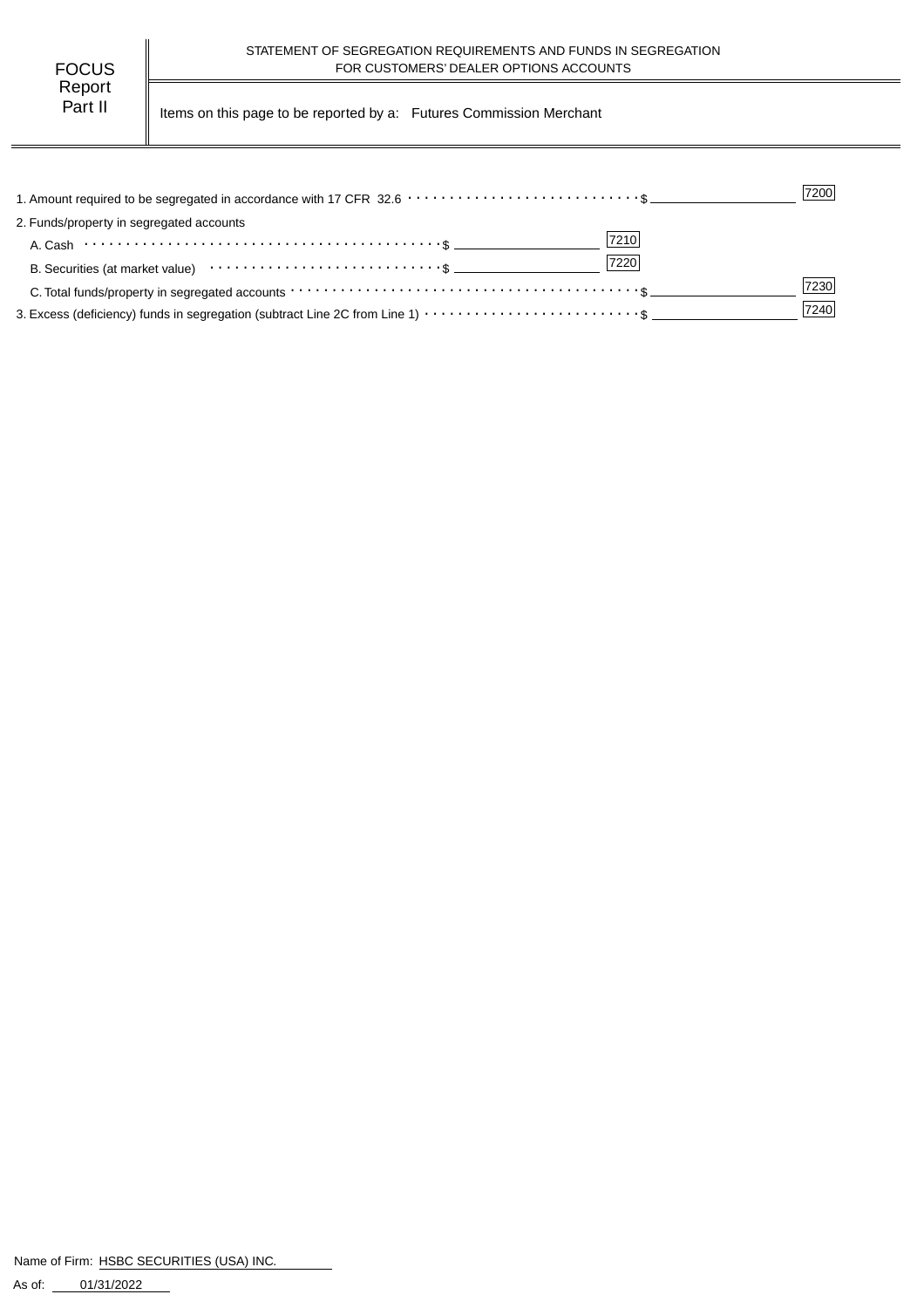| FOCUS   |  |
|---------|--|
| Report  |  |
| Part II |  |

Items on this page to be reported by a: Futures Commission Merchant

| 1. Amount required to be segregated in accordance with 17 CFR 32.6 ··································\$                                       | 7200 |
|-----------------------------------------------------------------------------------------------------------------------------------------------|------|
| 2. Funds/property in segregated accounts                                                                                                      |      |
| 7210<br>A. Cash $\cdots$ $\cdots$ $\cdots$ $\cdots$ $\cdots$ $\cdots$ $\cdots$ $\cdots$ $\cdots$ $\cdots$ $\cdots$ $\cdots$ $\cdots$ $\cdots$ |      |
| 7220                                                                                                                                          |      |
| C. Total funds/property in segregated accounts $\cdots \cdots \cdots \cdots \cdots \cdots \cdots \cdots \cdots \cdots \cdots \cdots \cdots$   | 7230 |
|                                                                                                                                               | 7240 |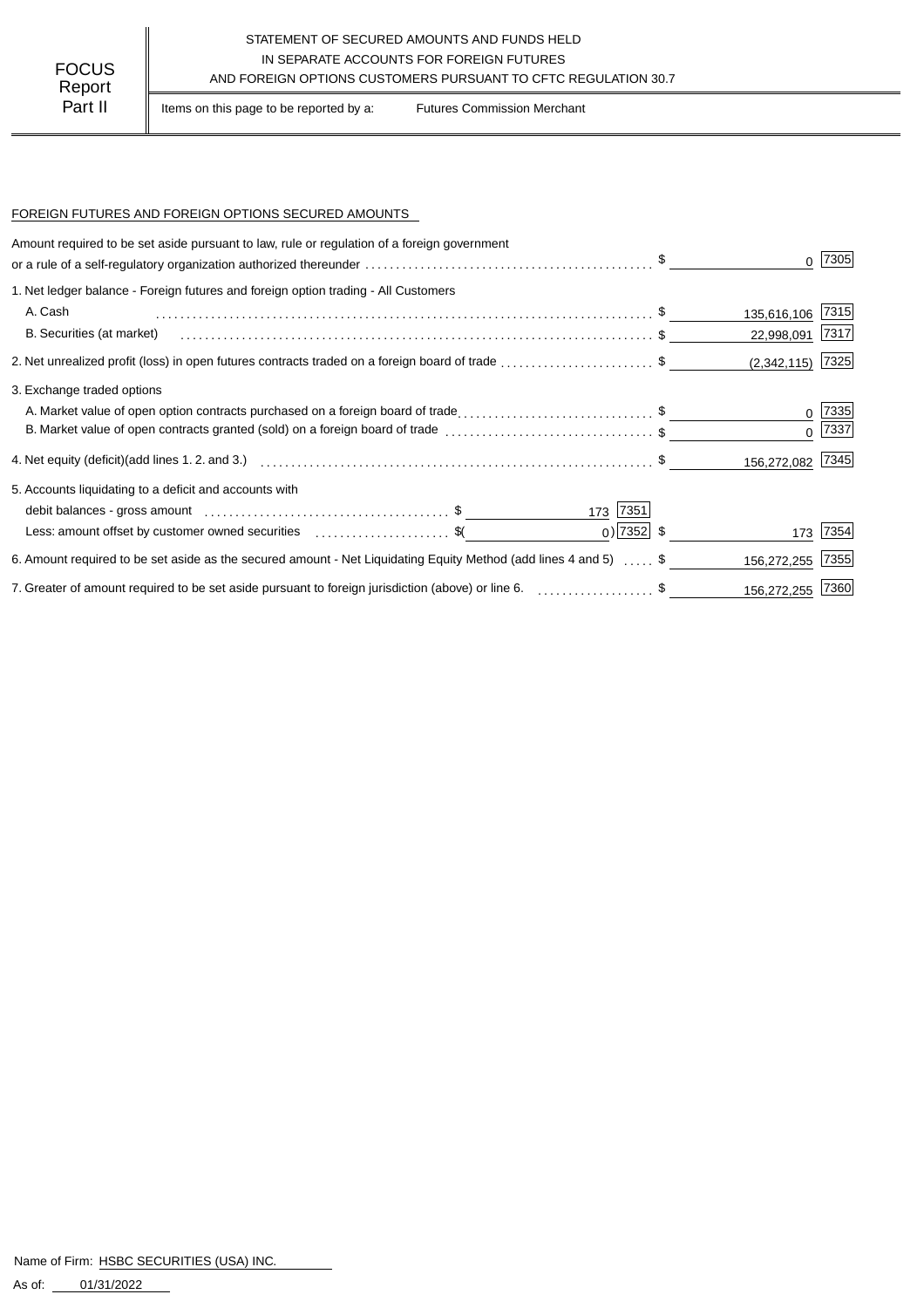#### STATEMENT OF SECURED AMOUNTS AND FUNDS HELD IN SEPARATE ACCOUNTS FOR FOREIGN FUTURES FOCUS IN SEPARALE ACCOUNTS FOR FOREIGN FUTURES<br>AND FOREIGN OPTIONS CUSTOMERS PURSUANT TO CFTC REGULATION 30.7

Part II | Items on this page to be reported by a: Futures Commission Merchant

#### FOREIGN FUTURES AND FOREIGN OPTIONS SECURED AMOUNTS

| Amount required to be set aside pursuant to law, rule or regulation of a foreign government<br>or a rule of a self-regulatory organization authorized thereunder $\ldots \ldots \ldots \ldots \ldots \ldots \ldots \ldots \ldots \ldots \ldots$ . |                |             | 7305       |
|---------------------------------------------------------------------------------------------------------------------------------------------------------------------------------------------------------------------------------------------------|----------------|-------------|------------|
| 1. Net ledger balance - Foreign futures and foreign option trading - All Customers                                                                                                                                                                |                |             |            |
| A. Cash                                                                                                                                                                                                                                           |                | 135,616,106 | 7315       |
| B. Securities (at market)                                                                                                                                                                                                                         |                | 22,998,091  | 7317       |
| 2. Net unrealized profit (loss) in open futures contracts traded on a foreign board of trade \$                                                                                                                                                   |                | (2,342,115) | 7325       |
| 3. Exchange traded options                                                                                                                                                                                                                        |                |             |            |
| A. Market value of open option contracts purchased on a foreign board of trade\$                                                                                                                                                                  |                |             | $0^{7335}$ |
| B. Market value of open contracts granted (sold) on a foreign board of trade \$                                                                                                                                                                   |                |             | $0^{7337}$ |
| 4. Net equity (deficit)(add lines 1.2. and 3.)  ……………………………………………………………………………………… \$                                                                                                                                                              |                | 156,272,082 | 7345       |
| 5. Accounts liquidating to a deficit and accounts with                                                                                                                                                                                            |                |             |            |
|                                                                                                                                                                                                                                                   | 173 7351       |             |            |
| Less: amount offset by customer owned securities \$ (                                                                                                                                                                                             | $_0$ ) 7352 \$ | 173         | 7354       |
| 6. Amount required to be set aside as the secured amount - Net Liquidating Equity Method (add lines 4 and 5)  \$                                                                                                                                  |                | 156,272,255 | 7355       |
| 7. Greater of amount required to be set aside pursuant to foreign jurisdiction (above) or line 6. [1] [1] 7. [1] \$                                                                                                                               |                | 156,272,255 | 7360       |